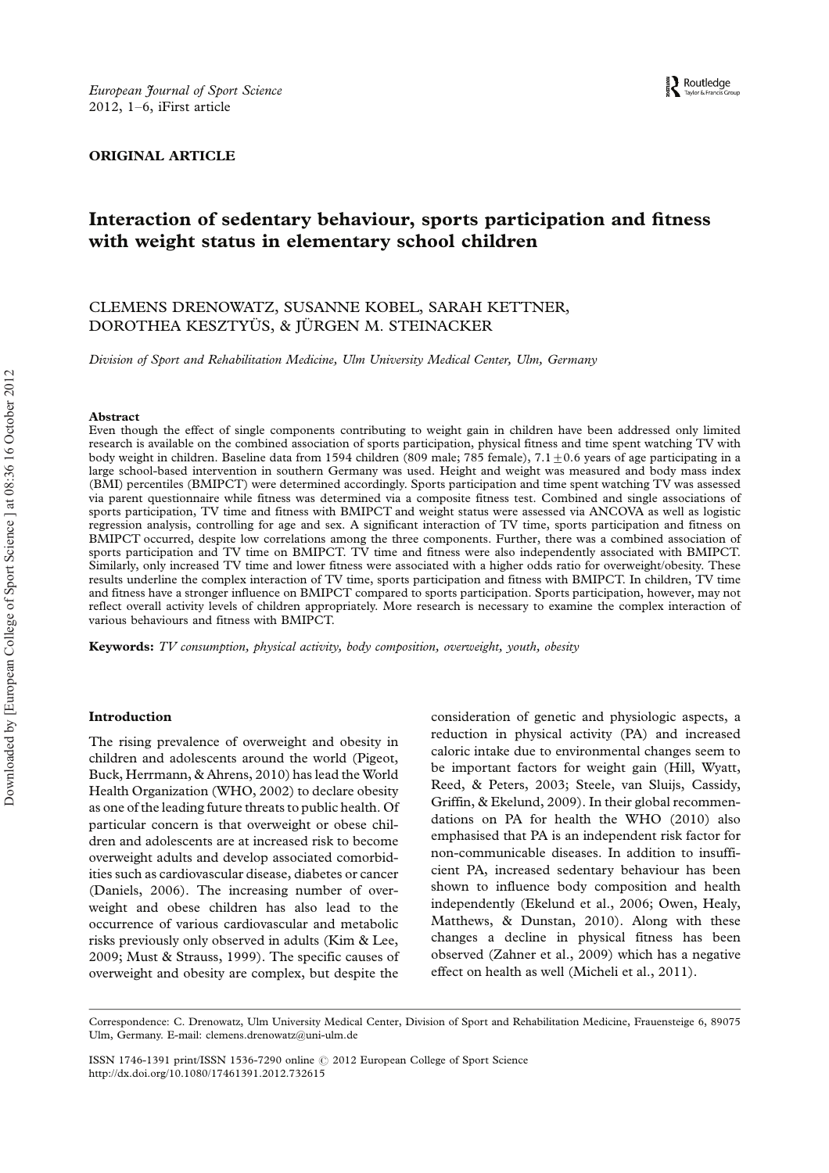# ORIGINAL ARTICLE

# Interaction of sedentary behaviour, sports participation and fitness with weight status in elementary school children

# CLEMENS DRENOWATZ, SUSANNE KOBEL, SARAH KETTNER, DOROTHEA KESZTYÜS, & JÜRGEN M. STEINACKER

*Division of Sport and Rehabilitation Medicine, Ulm University Medical Center, Ulm, Germany*

#### Abstract

Even though the effect of single components contributing to weight gain in children have been addressed only limited research is available on the combined association of sports participation, physical fitness and time spent watching TV with body weight in children. Baseline data from 1594 children (809 male; 785 female), 7.1 $\pm$ 0.6 years of age participating in a large school-based intervention in southern Germany was used. Height and weight was measured and body mass index (BMI) percentiles (BMIPCT) were determined accordingly. Sports participation and time spent watching TV was assessed via parent questionnaire while fitness was determined via a composite fitness test. Combined and single associations of sports participation, TV time and fitness with BMIPCT and weight status were assessed via ANCOVA as well as logistic regression analysis, controlling for age and sex. A significant interaction of TV time, sports participation and fitness on BMIPCT occurred, despite low correlations among the three components. Further, there was a combined association of sports participation and TV time on BMIPCT. TV time and fitness were also independently associated with BMIPCT. Similarly, only increased TV time and lower fitness were associated with a higher odds ratio for overweight/obesity. These results underline the complex interaction of TV time, sports participation and fitness with BMIPCT. In children, TV time and fitness have a stronger influence on BMIPCT compared to sports participation. Sports participation, however, may not reflect overall activity levels of children appropriately. More research is necessary to examine the complex interaction of various behaviours and fitness with BMIPCT.

Keywords: *TV consumption, physical activity, body composition, overweight, youth, obesity*

#### Introduction

The rising prevalence of overweight and obesity in children and adolescents around the world (Pigeot, Buck, Herrmann, & Ahrens, 2010) has lead the World Health Organization (WHO, 2002) to declare obesity as one of the leading future threats to public health. Of particular concern is that overweight or obese children and adolescents are at increased risk to become overweight adults and develop associated comorbidities such as cardiovascular disease, diabetes or cancer (Daniels, 2006). The increasing number of overweight and obese children has also lead to the occurrence of various cardiovascular and metabolic risks previously only observed in adults (Kim & Lee, 2009; Must & Strauss, 1999). The specific causes of overweight and obesity are complex, but despite the

consideration of genetic and physiologic aspects, a reduction in physical activity (PA) and increased caloric intake due to environmental changes seem to be important factors for weight gain (Hill, Wyatt, Reed, & Peters, 2003; Steele, van Sluijs, Cassidy, Griffin, & Ekelund, 2009). In their global recommendations on PA for health the WHO (2010) also emphasised that PA is an independent risk factor for non-communicable diseases. In addition to insufficient PA, increased sedentary behaviour has been shown to influence body composition and health independently (Ekelund et al., 2006; Owen, Healy, Matthews, & Dunstan, 2010). Along with these changes a decline in physical fitness has been observed (Zahner et al., 2009) which has a negative effect on health as well (Micheli et al., 2011).

ISSN 1746-1391 print/ISSN 1536-7290 online © 2012 European College of Sport Science http://dx.doi.org/10.1080/17461391.2012.732615

Correspondence: C. Drenowatz, Ulm University Medical Center, Division of Sport and Rehabilitation Medicine, Frauensteige 6, 89075 Ulm, Germany. E-mail: clemens.drenowatz@uni-ulm.de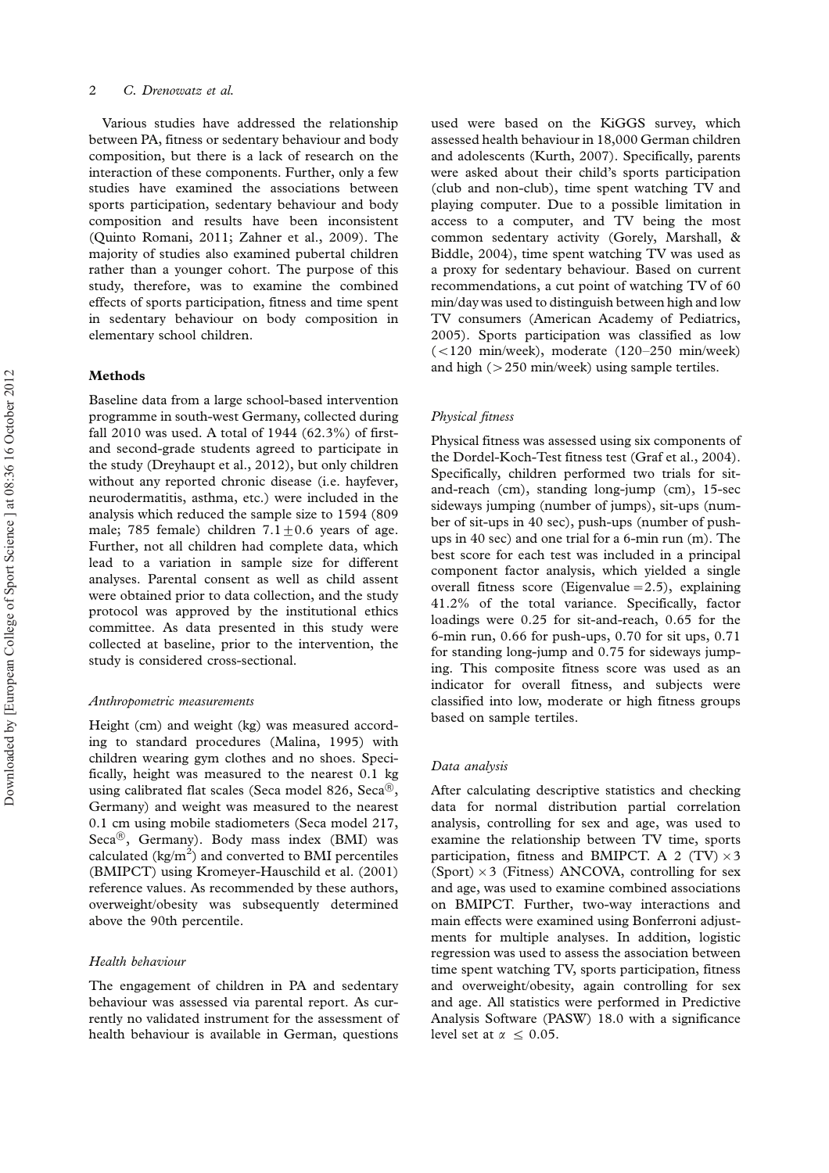#### 2 *C. Drenowatz et al.*

Various studies have addressed the relationship between PA, fitness or sedentary behaviour and body composition, but there is a lack of research on the interaction of these components. Further, only a few studies have examined the associations between sports participation, sedentary behaviour and body composition and results have been inconsistent (Quinto Romani, 2011; Zahner et al., 2009). The majority of studies also examined pubertal children rather than a younger cohort. The purpose of this study, therefore, was to examine the combined effects of sports participation, fitness and time spent in sedentary behaviour on body composition in elementary school children.

# Methods

Baseline data from a large school-based intervention programme in south-west Germany, collected during fall 2010 was used. A total of 1944 (62.3%) of firstand second-grade students agreed to participate in the study (Dreyhaupt et al., 2012), but only children without any reported chronic disease (i.e. hayfever, neurodermatitis, asthma, etc.) were included in the analysis which reduced the sample size to 1594 (809 male; 785 female) children  $7.1 \pm 0.6$  years of age. Further, not all children had complete data, which lead to a variation in sample size for different analyses. Parental consent as well as child assent were obtained prior to data collection, and the study protocol was approved by the institutional ethics committee. As data presented in this study were collected at baseline, prior to the intervention, the study is considered cross-sectional.

#### *Anthropometric measurements*

Height (cm) and weight (kg) was measured according to standard procedures (Malina, 1995) with children wearing gym clothes and no shoes. Specifically, height was measured to the nearest 0.1 kg using calibrated flat scales (Seca model 826, Seca®, Germany) and weight was measured to the nearest 0.1 cm using mobile stadiometers (Seca model 217, Seca $\mathcal{B}$ , Germany). Body mass index (BMI) was calculated  $\frac{\text{kg}}{\text{m}^2}$  and converted to BMI percentiles (BMIPCT) using Kromeyer-Hauschild et al. (2001) reference values. As recommended by these authors, overweight/obesity was subsequently determined above the 90th percentile.

#### *Health behaviour*

The engagement of children in PA and sedentary behaviour was assessed via parental report. As currently no validated instrument for the assessment of health behaviour is available in German, questions

used were based on the KiGGS survey, which assessed health behaviour in 18,000 German children and adolescents (Kurth, 2007). Specifically, parents were asked about their child's sports participation (club and non-club), time spent watching TV and playing computer. Due to a possible limitation in access to a computer, and TV being the most common sedentary activity (Gorely, Marshall, & Biddle, 2004), time spent watching TV was used as a proxy for sedentary behaviour. Based on current recommendations, a cut point of watching TV of 60 min/day was used to distinguish between high and low TV consumers (American Academy of Pediatrics, 2005). Sports participation was classified as low  $(<$ 120 min/week), moderate (120-250 min/week) and high  $(>250 \text{ min/week})$  using sample tertiles.

# *Physical fitness*

Physical fitness was assessed using six components of the Dordel-Koch-Test fitness test (Graf et al., 2004). Specifically, children performed two trials for sitand-reach (cm), standing long-jump (cm), 15-sec sideways jumping (number of jumps), sit-ups (number of sit-ups in 40 sec), push-ups (number of pushups in 40 sec) and one trial for a 6-min run (m). The best score for each test was included in a principal component factor analysis, which yielded a single overall fitness score (Eigenvalue =  $2.5$ ), explaining 41.2% of the total variance. Specifically, factor loadings were 0.25 for sit-and-reach, 0.65 for the 6-min run, 0.66 for push-ups, 0.70 for sit ups, 0.71 for standing long-jump and 0.75 for sideways jumping. This composite fitness score was used as an indicator for overall fitness, and subjects were classified into low, moderate or high fitness groups based on sample tertiles.

#### *Data analysis*

After calculating descriptive statistics and checking data for normal distribution partial correlation analysis, controlling for sex and age, was used to examine the relationship between TV time, sports participation, fitness and BMIPCT. A 2 (TV)  $\times$  3 (Sport)  $\times$  3 (Fitness) ANCOVA, controlling for sex and age, was used to examine combined associations on BMIPCT. Further, two-way interactions and main effects were examined using Bonferroni adjustments for multiple analyses. In addition, logistic regression was used to assess the association between time spent watching TV, sports participation, fitness and overweight/obesity, again controlling for sex and age. All statistics were performed in Predictive Analysis Software (PASW) 18.0 with a significance level set at  $\alpha \leq 0.05$ .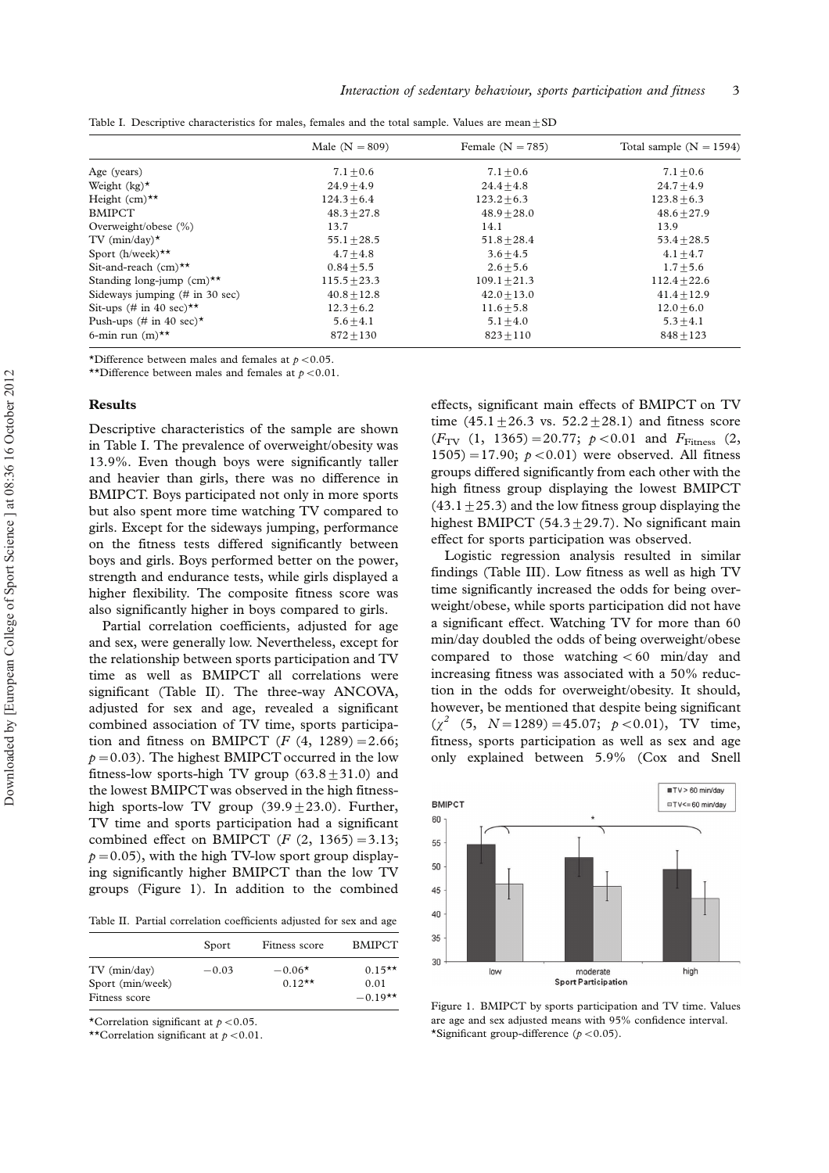|                                                    | Male $(N = 809)$ | Female $(N = 785)$ | Total sample $(N = 1594)$ |
|----------------------------------------------------|------------------|--------------------|---------------------------|
| Age (years)                                        | $7.1 + 0.6$      | $7.1 + 0.6$        | $7.1 + 0.6$               |
| Weight $(kg)^*$                                    | $24.9 + 4.9$     | $24.4 + 4.8$       | $24.7 + 4.9$              |
| Height $(cm)^{\star \star}$                        | $124.3 + 6.4$    | $123.2 + 6.3$      | $123.8 + 6.3$             |
| <b>BMIPCT</b>                                      | $48.3 + 27.8$    | $48.9 + 28.0$      | $48.6 + 27.9$             |
| Overweight/obese $(\% )$                           | 13.7             | 14.1               | 13.9                      |
| TV $(min/day)$ *                                   | 55.1 $\pm 28.5$  | $51.8 + 28.4$      | $53.4 \pm 28.5$           |
| Sport (h/week) $**$                                | $4.7 + 4.8$      | $3.6 + 4.5$        | $4.1 + 4.7$               |
| Sit-and-reach $(cm)^{\star\star}$                  | $0.84 + 5.5$     | $2.6 + 5.6$        | $1.7 + 5.6$               |
| Standing long-jump $(cm)^{\star\star}$             | $115.5 \pm 23.3$ | $109.1 + 21.3$     | $112.4 + 22.6$            |
| Sideways jumping $(\# \text{ in } 30 \text{ sec})$ | $40.8 + 12.8$    | $42.0 + 13.0$      | $41.4 + 12.9$             |
| Sit-ups (# in 40 sec)**                            | $12.3 + 6.2$     | $11.6 + 5.8$       | $12.0 + 6.0$              |
| Push-ups (# in 40 sec) $\star$                     | $5.6 \pm 4.1$    | $5.1 + 4.0$        | $5.3 \pm 4.1$             |
| 6-min run $(m)$ <sup>**</sup>                      | $872 + 130$      | $823 + 110$        | $848 + 123$               |

|  |  | Table I. Descriptive characteristics for males, females and the total sample. Values are mean $\pm$ SD |  |  |  |  |  |  |
|--|--|--------------------------------------------------------------------------------------------------------|--|--|--|--|--|--|
|--|--|--------------------------------------------------------------------------------------------------------|--|--|--|--|--|--|

\*Difference between males and females at  $p < 0.05$ .

\*\*Difference between males and females at  $p < 0.01$ .

## Results

Descriptive characteristics of the sample are shown in Table I. The prevalence of overweight/obesity was 13.9%. Even though boys were significantly taller and heavier than girls, there was no difference in BMIPCT. Boys participated not only in more sports but also spent more time watching TV compared to girls. Except for the sideways jumping, performance on the fitness tests differed significantly between boys and girls. Boys performed better on the power, strength and endurance tests, while girls displayed a higher flexibility. The composite fitness score was also significantly higher in boys compared to girls.

Partial correlation coefficients, adjusted for age and sex, were generally low. Nevertheless, except for the relationship between sports participation and TV time as well as BMIPCT all correlations were significant (Table II). The three-way ANCOVA, adjusted for sex and age, revealed a significant combined association of TV time, sports participation and fitness on BMIPCT (*F* (4, 1289) = 2.66;  $p = 0.03$ ). The highest BMIPCT occurred in the low fitness-low sports-high TV group  $(63.8 \pm 31.0)$  and the lowest BMIPCT was observed in the high fitnesshigh sports-low TV group  $(39.9 \pm 23.0)$ . Further, TV time and sports participation had a significant combined effect on BMIPCT (*F* (2, 1365) = 3.13;  $p=0.05$ ), with the high TV-low sport group displaying significantly higher BMIPCT than the low TV groups (Figure 1). In addition to the combined

Table II. Partial correlation coefficients adjusted for sex and age

| Sport   | Fitness score | <b>BMIPCT</b> |
|---------|---------------|---------------|
| $-0.03$ | $-0.06*$      | $0.15***$     |
|         | $0.12**$      | 0.01          |
|         |               | $-0.19**$     |
|         |               |               |

\*Correlation significant at  $p < 0.05$ .

\*\*Correlation significant at  $p < 0.01$ .

effects, significant main effects of BMIPCT on TV time  $(45.1 \pm 26.3 \text{ vs. } 52.2 \pm 28.1)$  and fitness score  $(F_{\text{TV}}(1, 1365) = 20.77; p < 0.01$  and  $F_{\text{Fitness}}(2,$ 1505) = 17.90;  $p < 0.01$ ) were observed. All fitness groups differed significantly from each other with the high fitness group displaying the lowest BMIPCT  $(43.1 \pm 25.3)$  and the low fitness group displaying the highest BMIPCT (54.3 $\pm$ 29.7). No significant main effect for sports participation was observed.

Logistic regression analysis resulted in similar findings (Table III). Low fitness as well as high TV time significantly increased the odds for being overweight/obese, while sports participation did not have a significant effect. Watching TV for more than 60 min/day doubled the odds of being overweight/obese compared to those watching  $< 60$  min/day and increasing fitness was associated with a 50% reduction in the odds for overweight/obesity. It should, however, be mentioned that despite being significant  $(\chi^2 \quad (5, \quad N=1289) = 45.07; \quad p < 0.01)$ , TV time, fitness, sports participation as well as sex and age only explained between 5.9% (Cox and Snell



Figure 1. BMIPCT by sports participation and TV time. Values are age and sex adjusted means with 95% confidence interval. \*Significant group-difference  $(p < 0.05)$ .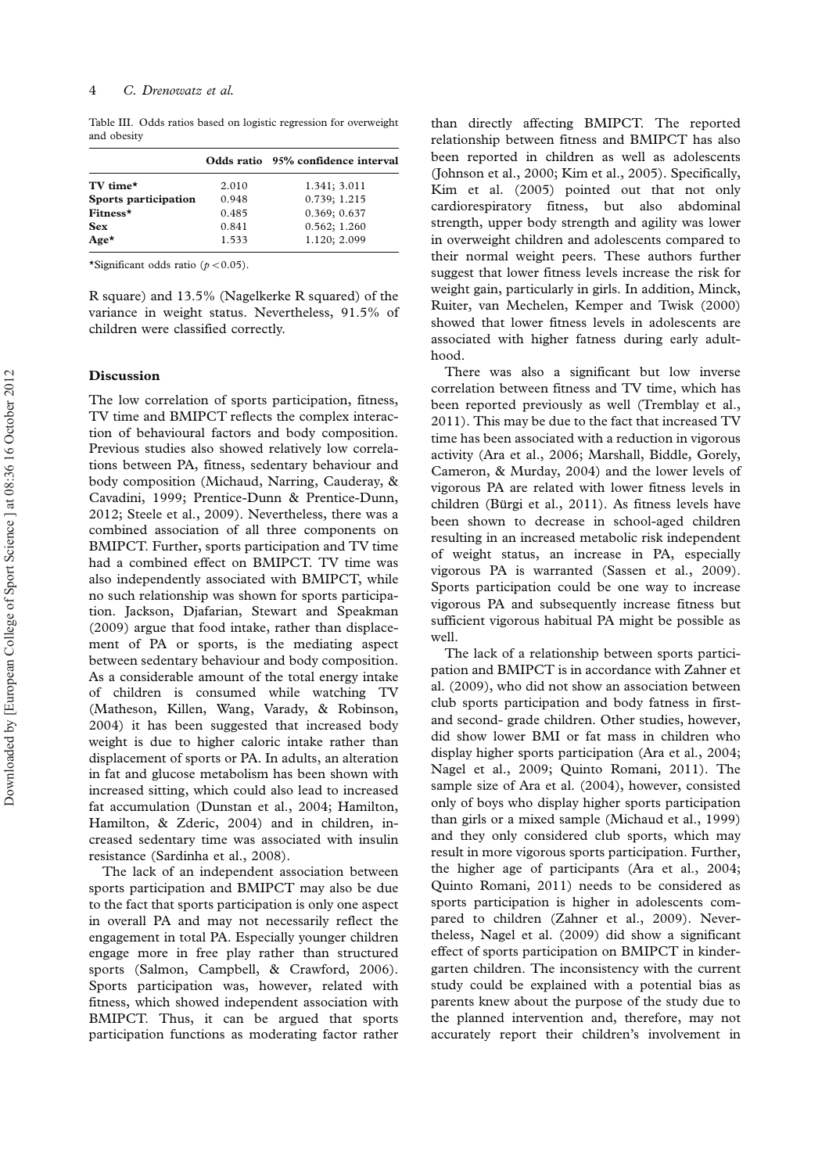Table III. Odds ratios based on logistic regression for overweight and obesity

|                      |       | Odds ratio 95% confidence interval |
|----------------------|-------|------------------------------------|
| TV time*             | 2.010 | 1.341; 3.011                       |
| Sports participation | 0.948 | 0.739; 1.215                       |
| Fitness*             | 0.485 | 0.369; 0.637                       |
| <b>Sex</b>           | 0.841 | 0.562; 1.260                       |
| $Age^{\star}$        | 1.533 | 1.120; 2.099                       |
|                      |       |                                    |

\*Significant odds ratio ( $p < 0.05$ ).

R square) and 13.5% (Nagelkerke R squared) of the variance in weight status. Nevertheless, 91.5% of children were classified correctly.

# Discussion

The low correlation of sports participation, fitness, TV time and BMIPCT reflects the complex interaction of behavioural factors and body composition. Previous studies also showed relatively low correlations between PA, fitness, sedentary behaviour and body composition (Michaud, Narring, Cauderay, & Cavadini, 1999; Prentice-Dunn & Prentice-Dunn, 2012; Steele et al., 2009). Nevertheless, there was a combined association of all three components on BMIPCT. Further, sports participation and TV time had a combined effect on BMIPCT. TV time was also independently associated with BMIPCT, while no such relationship was shown for sports participation. Jackson, Djafarian, Stewart and Speakman (2009) argue that food intake, rather than displacement of PA or sports, is the mediating aspect between sedentary behaviour and body composition. As a considerable amount of the total energy intake of children is consumed while watching TV (Matheson, Killen, Wang, Varady, & Robinson, 2004) it has been suggested that increased body weight is due to higher caloric intake rather than displacement of sports or PA. In adults, an alteration in fat and glucose metabolism has been shown with increased sitting, which could also lead to increased fat accumulation (Dunstan et al., 2004; Hamilton, Hamilton, & Zderic, 2004) and in children, increased sedentary time was associated with insulin resistance (Sardinha et al., 2008).

The lack of an independent association between sports participation and BMIPCT may also be due to the fact that sports participation is only one aspect in overall PA and may not necessarily reflect the engagement in total PA. Especially younger children engage more in free play rather than structured sports (Salmon, Campbell, & Crawford, 2006). Sports participation was, however, related with fitness, which showed independent association with BMIPCT. Thus, it can be argued that sports participation functions as moderating factor rather

than directly affecting BMIPCT. The reported relationship between fitness and BMIPCT has also been reported in children as well as adolescents (Johnson et al., 2000; Kim et al., 2005). Specifically, Kim et al. (2005) pointed out that not only cardiorespiratory fitness, but also abdominal strength, upper body strength and agility was lower in overweight children and adolescents compared to their normal weight peers. These authors further suggest that lower fitness levels increase the risk for weight gain, particularly in girls. In addition, Minck, Ruiter, van Mechelen, Kemper and Twisk (2000) showed that lower fitness levels in adolescents are associated with higher fatness during early adulthood.

There was also a significant but low inverse correlation between fitness and TV time, which has been reported previously as well (Tremblay et al., 2011). This may be due to the fact that increased TV time has been associated with a reduction in vigorous activity (Ara et al., 2006; Marshall, Biddle, Gorely, Cameron, & Murday, 2004) and the lower levels of vigorous PA are related with lower fitness levels in children (Bürgi et al., 2011). As fitness levels have been shown to decrease in school-aged children resulting in an increased metabolic risk independent of weight status, an increase in PA, especially vigorous PA is warranted (Sassen et al., 2009). Sports participation could be one way to increase vigorous PA and subsequently increase fitness but sufficient vigorous habitual PA might be possible as well.

The lack of a relationship between sports participation and BMIPCT is in accordance with Zahner et al. (2009), who did not show an association between club sports participation and body fatness in firstand second- grade children. Other studies, however, did show lower BMI or fat mass in children who display higher sports participation (Ara et al., 2004; Nagel et al., 2009; Quinto Romani, 2011). The sample size of Ara et al. (2004), however, consisted only of boys who display higher sports participation than girls or a mixed sample (Michaud et al., 1999) and they only considered club sports, which may result in more vigorous sports participation. Further, the higher age of participants (Ara et al., 2004; Quinto Romani, 2011) needs to be considered as sports participation is higher in adolescents compared to children (Zahner et al., 2009). Nevertheless, Nagel et al. (2009) did show a significant effect of sports participation on BMIPCT in kindergarten children. The inconsistency with the current study could be explained with a potential bias as parents knew about the purpose of the study due to the planned intervention and, therefore, may not accurately report their children's involvement in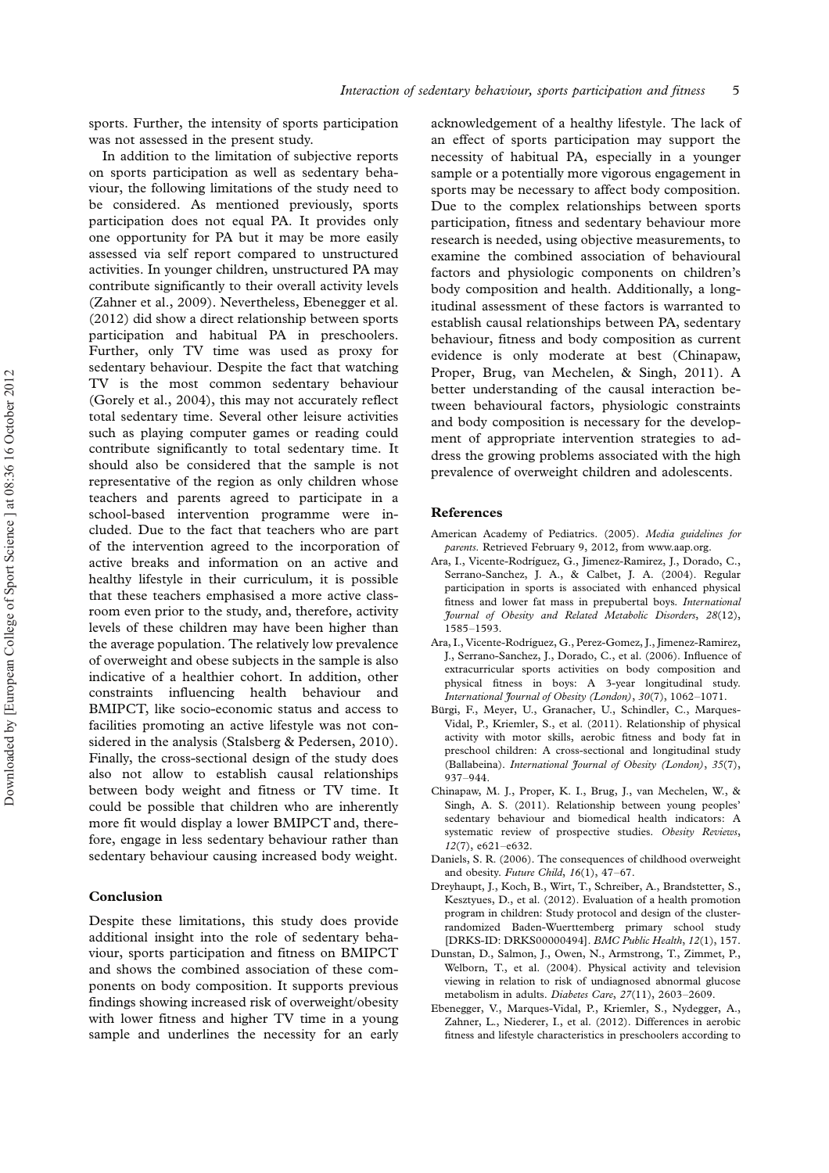sports. Further, the intensity of sports participation was not assessed in the present study.

In addition to the limitation of subjective reports on sports participation as well as sedentary behaviour, the following limitations of the study need to be considered. As mentioned previously, sports participation does not equal PA. It provides only one opportunity for PA but it may be more easily assessed via self report compared to unstructured activities. In younger children, unstructured PA may contribute significantly to their overall activity levels (Zahner et al., 2009). Nevertheless, Ebenegger et al. (2012) did show a direct relationship between sports participation and habitual PA in preschoolers. Further, only TV time was used as proxy for sedentary behaviour. Despite the fact that watching TV is the most common sedentary behaviour (Gorely et al., 2004), this may not accurately reflect total sedentary time. Several other leisure activities such as playing computer games or reading could contribute significantly to total sedentary time. It should also be considered that the sample is not representative of the region as only children whose teachers and parents agreed to participate in a school-based intervention programme were included. Due to the fact that teachers who are part of the intervention agreed to the incorporation of active breaks and information on an active and healthy lifestyle in their curriculum, it is possible that these teachers emphasised a more active classroom even prior to the study, and, therefore, activity levels of these children may have been higher than the average population. The relatively low prevalence of overweight and obese subjects in the sample is also indicative of a healthier cohort. In addition, other constraints influencing health behaviour and BMIPCT, like socio-economic status and access to facilities promoting an active lifestyle was not considered in the analysis (Stalsberg & Pedersen, 2010). Finally, the cross-sectional design of the study does also not allow to establish causal relationships between body weight and fitness or TV time. It could be possible that children who are inherently more fit would display a lower BMIPCT and, therefore, engage in less sedentary behaviour rather than sedentary behaviour causing increased body weight.

#### Conclusion

Despite these limitations, this study does provide additional insight into the role of sedentary behaviour, sports participation and fitness on BMIPCT and shows the combined association of these components on body composition. It supports previous findings showing increased risk of overweight/obesity with lower fitness and higher TV time in a young sample and underlines the necessity for an early

acknowledgement of a healthy lifestyle. The lack of an effect of sports participation may support the necessity of habitual PA, especially in a younger sample or a potentially more vigorous engagement in sports may be necessary to affect body composition. Due to the complex relationships between sports participation, fitness and sedentary behaviour more research is needed, using objective measurements, to examine the combined association of behavioural factors and physiologic components on children's body composition and health. Additionally, a longitudinal assessment of these factors is warranted to establish causal relationships between PA, sedentary behaviour, fitness and body composition as current evidence is only moderate at best (Chinapaw, Proper, Brug, van Mechelen, & Singh, 2011). A better understanding of the causal interaction between behavioural factors, physiologic constraints and body composition is necessary for the development of appropriate intervention strategies to address the growing problems associated with the high prevalence of overweight children and adolescents.

#### References

- American Academy of Pediatrics. (2005). *Media guidelines for parents*. Retrieved February 9, 2012, from www.aap.org.
- Ara, I., Vicente-Rodríguez, G., Jimenez-Ramirez, J., Dorado, C., Serrano-Sanchez, J. A., & Calbet, J. A. (2004). Regular participation in sports is associated with enhanced physical fitness and lower fat mass in prepubertal boys. *International Journal of Obesity and Related Metabolic Disorders*, *28*(12), 1585-1593.
- Ara, I., Vicente-Rodríguez, G., Perez-Gomez, J., Jimenez-Ramirez, J., Serrano-Sanchez, J., Dorado, C., et al. (2006). Influence of extracurricular sports activities on body composition and physical fitness in boys: A 3-year longitudinal study. *International Hournal of Obesity (London)*,  $30(7)$ ,  $1062-1071$ .
- Bürgi, F., Meyer, U., Granacher, U., Schindler, C., Marques-Vidal, P., Kriemler, S., et al. (2011). Relationship of physical activity with motor skills, aerobic fitness and body fat in preschool children: A cross-sectional and longitudinal study (Ballabeina). *International Journal of Obesity (London)*, *35*(7), 937-944
- Chinapaw, M. J., Proper, K. I., Brug, J., van Mechelen, W., & Singh, A. S. (2011). Relationship between young peoples' sedentary behaviour and biomedical health indicators: A systematic review of prospective studies. *Obesity Reviews*, 12(7), e621-e632
- Daniels, S. R. (2006). The consequences of childhood overweight and obesity. *Future Child*, 16(1), 47-67.
- Dreyhaupt, J., Koch, B., Wirt, T., Schreiber, A., Brandstetter, S., Kesztyues, D., et al. (2012). Evaluation of a health promotion program in children: Study protocol and design of the clusterrandomized Baden-Wuerttemberg primary school study [DRKS-ID: DRKS00000494]. *BMC Public Health*, *12*(1), 157.
- Dunstan, D., Salmon, J., Owen, N., Armstrong, T., Zimmet, P., Welborn, T., et al. (2004). Physical activity and television viewing in relation to risk of undiagnosed abnormal glucose metabolism in adults. *Diabetes Care*, 27(11), 2603-2609.
- Ebenegger, V., Marques-Vidal, P., Kriemler, S., Nydegger, A., Zahner, L., Niederer, I., et al. (2012). Differences in aerobic fitness and lifestyle characteristics in preschoolers according to